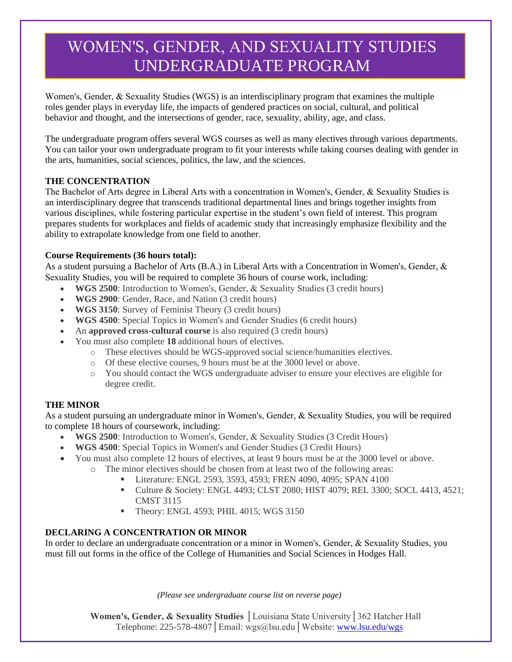# WOMEN'S, GENDER, AND SEXUALITY STUDIES UNDERGRADUATE PROGRAM

Women's, Gender, & Sexuality Studies (WGS) is an interdisciplinary program that examines the multiple roles gender plays in everyday life, the impacts of gendered practices on social, cultural, and political behavior and thought, and the intersections of gender, race, sexuality, ability, age, and class.

The undergraduate program offers several WGS courses as well as many electives through various departments. You can tailor your own undergraduate program to fit your interests while taking courses dealing with gender in the arts, humanities, social sciences, politics, the law, and the sciences.

### **THE CONCENTRATION**

The Bachelor of Arts degree in Liberal Arts with a concentration in Women's, Gender, & Sexuality Studies is an interdisciplinary degree that transcends traditional departmental lines and brings together insights from various disciplines, while fostering particular expertise in the student's own field of interest. This program prepares students for workplaces and fields of academic study that increasingly emphasize flexibility and the ability to extrapolate knowledge from one field to another.

### **Course Requirements (36 hours total):**

As a student pursuing a Bachelor of Arts (B.A.) in Liberal Arts with a Concentration in Women's, Gender, & Sexuality Studies, you will be required to complete 36 hours of course work, including:

- **WGS 2500**: Introduction to Women's, Gender, & Sexuality Studies (3 credit hours)
- **WGS 2900**: Gender, Race, and Nation (3 credit hours)
- **WGS 3150**: Survey of Feminist Theory (3 credit hours)
- **WGS 4500**: Special Topics in Women's and Gender Studies (6 credit hours)
- An **approved cross-cultural course** is also required (3 credit hours)
- You must also complete **18** additional hours of electives.
	- o These electives should be WGS-approved social science/humanities electives.
	- o Of these elective courses, 9 hours must be at the 3000 level or above.
	- o You should contact the WGS undergraduate adviser to ensure your electives are eligible for degree credit.

### **THE MINOR**

As a student pursuing an undergraduate minor in Women's, Gender, & Sexuality Studies, you will be required to complete 18 hours of coursework, including:

- **WGS 2500**: Introduction to Women's, Gender, & Sexuality Studies (3 Credit Hours)
- **WGS 4500**: Special Topics in Women's and Gender Studies (3 Credit Hours)
- You must also complete 12 hours of electives, at least 9 hours must be at the 3000 level or above.
	- o The minor electives should be chosen from at least two of the following areas:
		- Literature: ENGL 2593, 3593, 4593; FREN 4090, 4095; SPAN 4100
		- Culture & Society: ENGL 4493; CLST 2080; HIST 4079; REL 3300; SOCL 4413, 4521; CMST 3115
		- **Theory: ENGL 4593; PHIL 4015; WGS 3150**

### **DECLARING A CONCENTRATION OR MINOR**

In order to declare an undergraduate concentration or a minor in Women's, Gender, & Sexuality Studies, you must fill out forms in the office of the College of Humanities and Social Sciences in Hodges Hall.

*(Please see undergraduate course list on reverse page)*

**Women's, Gender, & Sexuality Studies** │Louisiana State University│362 Hatcher Hall Telephone: 225-578-4807│Email: wgs@lsu.edu│Websit[e: www.lsu.edu/wgs](http://www.lsu.edu/wgs)